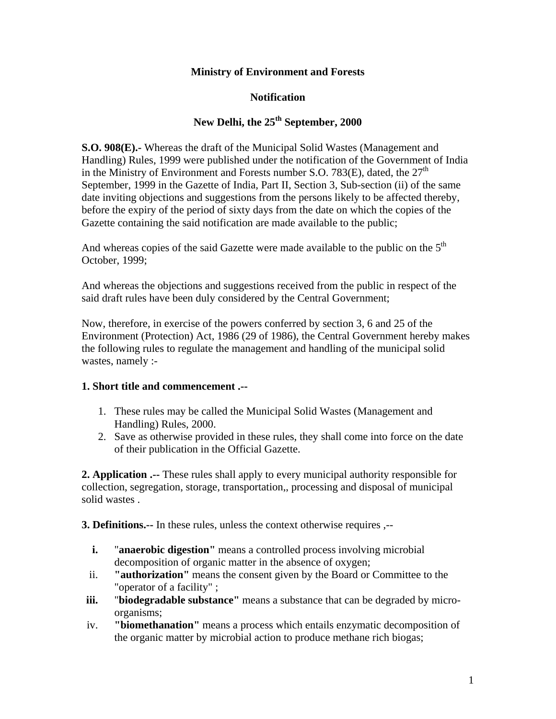#### **Ministry of Environment and Forests**

#### **Notification**

# **New Delhi, the 25th September, 2000**

**S.O. 908(E).-** Whereas the draft of the Municipal Solid Wastes (Management and Handling) Rules, 1999 were published under the notification of the Government of India in the Ministry of Environment and Forests number S.O. 783(E), dated, the  $27<sup>th</sup>$ September, 1999 in the Gazette of India, Part II, Section 3, Sub-section (ii) of the same date inviting objections and suggestions from the persons likely to be affected thereby, before the expiry of the period of sixty days from the date on which the copies of the Gazette containing the said notification are made available to the public;

And whereas copies of the said Gazette were made available to the public on the  $5<sup>th</sup>$ October, 1999;

And whereas the objections and suggestions received from the public in respect of the said draft rules have been duly considered by the Central Government;

Now, therefore, in exercise of the powers conferred by section 3, 6 and 25 of the Environment (Protection) Act, 1986 (29 of 1986), the Central Government hereby makes the following rules to regulate the management and handling of the municipal solid wastes, namely :-

#### **1. Short title and commencement .--**

- 1. These rules may be called the Municipal Solid Wastes (Management and Handling) Rules, 2000.
- 2. Save as otherwise provided in these rules, they shall come into force on the date of their publication in the Official Gazette.

**2. Application .--** These rules shall apply to every municipal authority responsible for collection, segregation, storage, transportation,, processing and disposal of municipal solid wastes .

**3. Definitions.--** In these rules, unless the context otherwise requires ,--

- **i. "anaerobic digestion"** means a controlled process involving microbial decomposition of organic matter in the absence of oxygen;
- ii. **"authorization"** means the consent given by the Board or Committee to the "operator of a facility" ;
- **iii.** "**biodegradable substance"** means a substance that can be degraded by microorganisms;
- iv. **"biomethanation"** means a process which entails enzymatic decomposition of the organic matter by microbial action to produce methane rich biogas;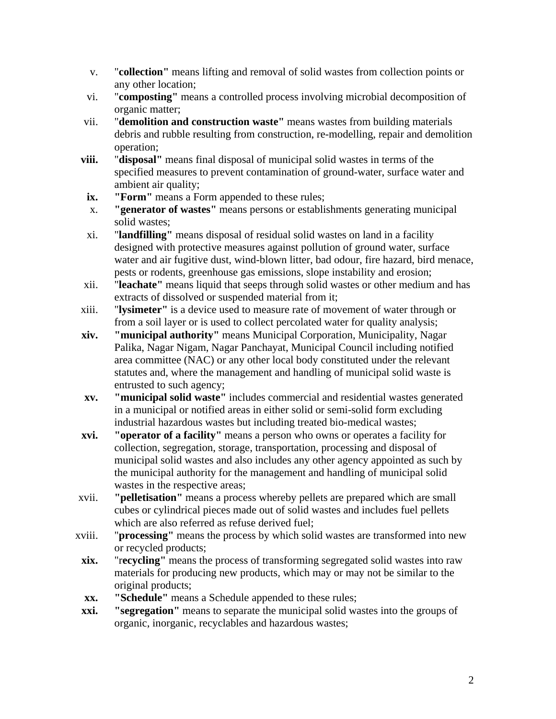- v. "**collection"** means lifting and removal of solid wastes from collection points or any other location;
- vi. "**composting"** means a controlled process involving microbial decomposition of organic matter;
- vii. "**demolition and construction waste"** means wastes from building materials debris and rubble resulting from construction, re-modelling, repair and demolition operation;
- **viii.** "**disposal"** means final disposal of municipal solid wastes in terms of the specified measures to prevent contamination of ground-water, surface water and ambient air quality;
- **ix.** "Form" means a Form appended to these rules;
- x. **"generator of wastes"** means persons or establishments generating municipal solid wastes;
- xi. "**landfilling"** means disposal of residual solid wastes on land in a facility designed with protective measures against pollution of ground water, surface water and air fugitive dust, wind-blown litter, bad odour, fire hazard, bird menace, pests or rodents, greenhouse gas emissions, slope instability and erosion;
- xii. "**leachate"** means liquid that seeps through solid wastes or other medium and has extracts of dissolved or suspended material from it;
- xiii. "**lysimeter"** is a device used to measure rate of movement of water through or from a soil layer or is used to collect percolated water for quality analysis;
- **xiv. "municipal authority"** means Municipal Corporation, Municipality, Nagar Palika, Nagar Nigam, Nagar Panchayat, Municipal Council including notified area committee (NAC) or any other local body constituted under the relevant statutes and, where the management and handling of municipal solid waste is entrusted to such agency;
- **xv. "municipal solid waste"** includes commercial and residential wastes generated in a municipal or notified areas in either solid or semi-solid form excluding industrial hazardous wastes but including treated bio-medical wastes;
- **xvi. "operator of a facility"** means a person who owns or operates a facility for collection, segregation, storage, transportation, processing and disposal of municipal solid wastes and also includes any other agency appointed as such by the municipal authority for the management and handling of municipal solid wastes in the respective areas;
- xvii. **"pelletisation"** means a process whereby pellets are prepared which are small cubes or cylindrical pieces made out of solid wastes and includes fuel pellets which are also referred as refuse derived fuel;
- xviii. "**processing"** means the process by which solid wastes are transformed into new or recycled products;
	- **xix.** "r**ecycling"** means the process of transforming segregated solid wastes into raw materials for producing new products, which may or may not be similar to the original products;
	- **xx. "Schedule"** means a Schedule appended to these rules;
	- **xxi. "segregation"** means to separate the municipal solid wastes into the groups of organic, inorganic, recyclables and hazardous wastes;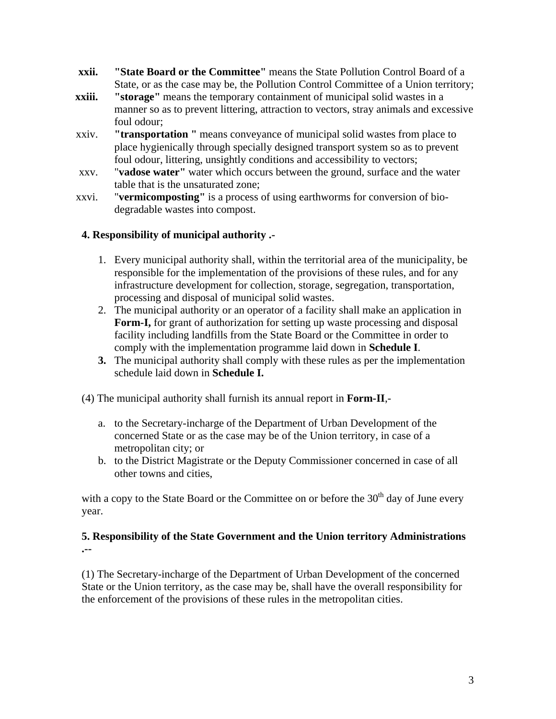- **xxii. "State Board or the Committee"** means the State Pollution Control Board of a State, or as the case may be, the Pollution Control Committee of a Union territory;
- **xxiii.** "**storage**" means the temporary containment of municipal solid wastes in a manner so as to prevent littering, attraction to vectors, stray animals and excessive foul odour;
- xxiv. **"transportation "** means conveyance of municipal solid wastes from place to place hygienically through specially designed transport system so as to prevent foul odour, littering, unsightly conditions and accessibility to vectors;
- xxv. "**vadose water"** water which occurs between the ground, surface and the water table that is the unsaturated zone;
- xxvi. "**vermicomposting"** is a process of using earthworms for conversion of biodegradable wastes into compost.

## **4. Responsibility of municipal authority .-**

- 1. Every municipal authority shall, within the territorial area of the municipality, be responsible for the implementation of the provisions of these rules, and for any infrastructure development for collection, storage, segregation, transportation, processing and disposal of municipal solid wastes.
- 2. The municipal authority or an operator of a facility shall make an application in **Form-I,** for grant of authorization for setting up waste processing and disposal facility including landfills from the State Board or the Committee in order to comply with the implementation programme laid down in **Schedule I**.
- **3.** The municipal authority shall comply with these rules as per the implementation schedule laid down in **Schedule I.**
- (4) The municipal authority shall furnish its annual report in **Form-II**,
	- a. to the Secretary-incharge of the Department of Urban Development of the concerned State or as the case may be of the Union territory, in case of a metropolitan city; or
	- b. to the District Magistrate or the Deputy Commissioner concerned in case of all other towns and cities,

with a copy to the State Board or the Committee on or before the  $30<sup>th</sup>$  day of June every year.

## **5. Responsibility of the State Government and the Union territory Administrations .--**

(1) The Secretary-incharge of the Department of Urban Development of the concerned State or the Union territory, as the case may be, shall have the overall responsibility for the enforcement of the provisions of these rules in the metropolitan cities.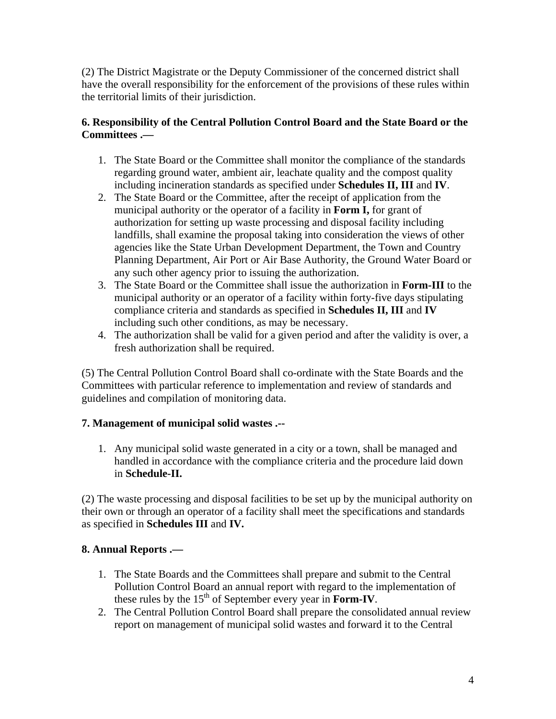(2) The District Magistrate or the Deputy Commissioner of the concerned district shall have the overall responsibility for the enforcement of the provisions of these rules within the territorial limits of their jurisdiction.

## **6. Responsibility of the Central Pollution Control Board and the State Board or the Committees .—**

- 1. The State Board or the Committee shall monitor the compliance of the standards regarding ground water, ambient air, leachate quality and the compost quality including incineration standards as specified under **Schedules II, III** and **IV**.
- 2. The State Board or the Committee, after the receipt of application from the municipal authority or the operator of a facility in **Form I,** for grant of authorization for setting up waste processing and disposal facility including landfills, shall examine the proposal taking into consideration the views of other agencies like the State Urban Development Department, the Town and Country Planning Department, Air Port or Air Base Authority, the Ground Water Board or any such other agency prior to issuing the authorization.
- 3. The State Board or the Committee shall issue the authorization in **Form-III** to the municipal authority or an operator of a facility within forty-five days stipulating compliance criteria and standards as specified in **Schedules II, III** and **IV** including such other conditions, as may be necessary.
- 4. The authorization shall be valid for a given period and after the validity is over, a fresh authorization shall be required.

(5) The Central Pollution Control Board shall co-ordinate with the State Boards and the Committees with particular reference to implementation and review of standards and guidelines and compilation of monitoring data.

# **7. Management of municipal solid wastes .--**

1. Any municipal solid waste generated in a city or a town, shall be managed and handled in accordance with the compliance criteria and the procedure laid down in **Schedule-II.**

(2) The waste processing and disposal facilities to be set up by the municipal authority on their own or through an operator of a facility shall meet the specifications and standards as specified in **Schedules III** and **IV.** 

# **8. Annual Reports .—**

- 1. The State Boards and the Committees shall prepare and submit to the Central Pollution Control Board an annual report with regard to the implementation of these rules by the  $15<sup>th</sup>$  of September every year in **Form-IV**.
- 2. The Central Pollution Control Board shall prepare the consolidated annual review report on management of municipal solid wastes and forward it to the Central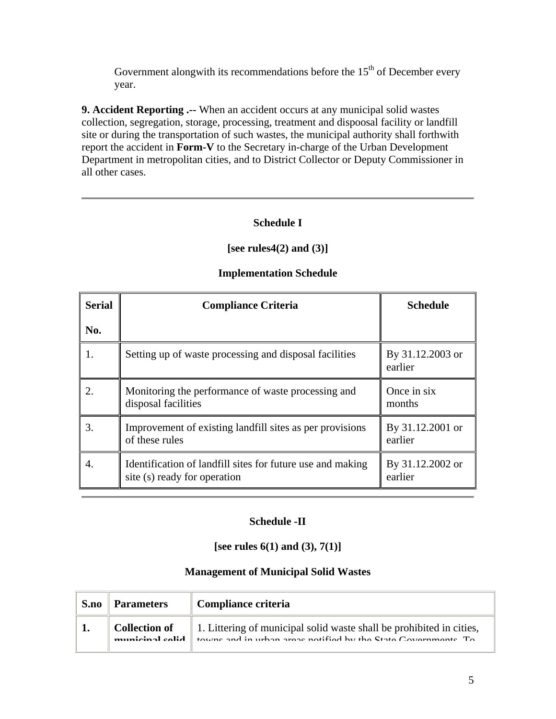Government alongwith its recommendations before the  $15<sup>th</sup>$  of December every year.

**9. Accident Reporting .--** When an accident occurs at any municipal solid wastes collection, segregation, storage, processing, treatment and dispoosal facility or landfill site or during the transportation of such wastes, the municipal authority shall forthwith report the accident in **Form-V** to the Secretary in-charge of the Urban Development Department in metropolitan cities, and to District Collector or Deputy Commissioner in all other cases.

## **Schedule I**

#### **[see rules4(2) and (3)]**

| <b>Serial</b> | <b>Compliance Criteria</b>                                                                 | <b>Schedule</b>             |  |
|---------------|--------------------------------------------------------------------------------------------|-----------------------------|--|
| No.           |                                                                                            |                             |  |
|               | Setting up of waste processing and disposal facilities                                     | By 31.12.2003 or<br>earlier |  |
|               | Monitoring the performance of waste processing and<br>disposal facilities                  | Once in six<br>months       |  |
| 3.            | Improvement of existing landfill sites as per provisions<br>of these rules                 | By 31.12.2001 or<br>earlier |  |
| 4.            | Identification of landfill sites for future use and making<br>site (s) ready for operation | By 31.12.2002 or<br>earlier |  |

#### **Implementation Schedule**

#### **Schedule -II**

#### **[see rules 6(1) and (3), 7(1)]**

#### **Management of Municipal Solid Wastes**

| S.no | <b>Parameters</b> | Compliance criteria                                                                                                                                                                    |
|------|-------------------|----------------------------------------------------------------------------------------------------------------------------------------------------------------------------------------|
|      |                   | <b>Collection of</b> $\parallel$ 1. Littering of municipal solid waste shall be prohibited in cities,<br>municipal solid towns and in urban grass notified by the State Governments To |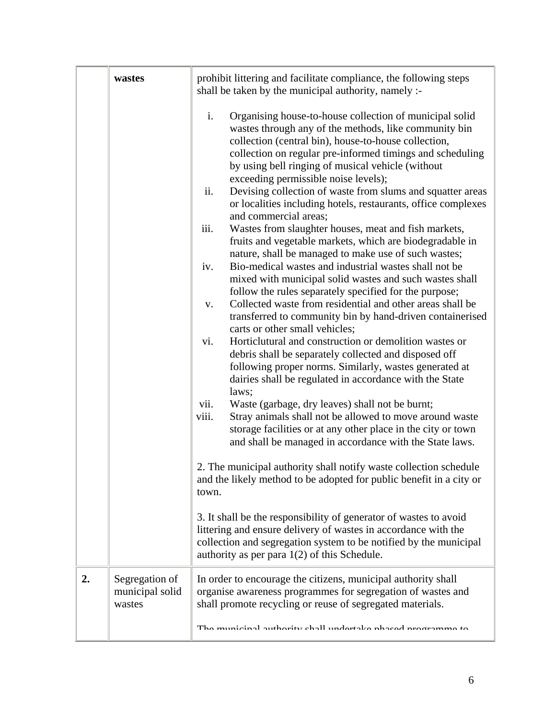|    | wastes                                      | prohibit littering and facilitate compliance, the following steps<br>shall be taken by the municipal authority, namely :-                                                                                                                                                                                                                                                                                                                                                                                                                                                                                                                                                                                                                                                                                                                                                                                                                                                                                                                                                                                                                                                                                                                                                                                                                                                                                                                                                                                                                                                                                                                                                                                                                                                                                                                                                                                                                                                               |  |
|----|---------------------------------------------|-----------------------------------------------------------------------------------------------------------------------------------------------------------------------------------------------------------------------------------------------------------------------------------------------------------------------------------------------------------------------------------------------------------------------------------------------------------------------------------------------------------------------------------------------------------------------------------------------------------------------------------------------------------------------------------------------------------------------------------------------------------------------------------------------------------------------------------------------------------------------------------------------------------------------------------------------------------------------------------------------------------------------------------------------------------------------------------------------------------------------------------------------------------------------------------------------------------------------------------------------------------------------------------------------------------------------------------------------------------------------------------------------------------------------------------------------------------------------------------------------------------------------------------------------------------------------------------------------------------------------------------------------------------------------------------------------------------------------------------------------------------------------------------------------------------------------------------------------------------------------------------------------------------------------------------------------------------------------------------------|--|
|    |                                             | i.<br>Organising house-to-house collection of municipal solid<br>wastes through any of the methods, like community bin<br>collection (central bin), house-to-house collection,<br>collection on regular pre-informed timings and scheduling<br>by using bell ringing of musical vehicle (without<br>exceeding permissible noise levels);<br>ii.<br>Devising collection of waste from slums and squatter areas<br>or localities including hotels, restaurants, office complexes<br>and commercial areas;<br>iii.<br>Wastes from slaughter houses, meat and fish markets,<br>fruits and vegetable markets, which are biodegradable in<br>nature, shall be managed to make use of such wastes;<br>Bio-medical wastes and industrial wastes shall not be<br>iv.<br>mixed with municipal solid wastes and such wastes shall<br>follow the rules separately specified for the purpose;<br>Collected waste from residential and other areas shall be<br>V.<br>transferred to community bin by hand-driven containerised<br>carts or other small vehicles;<br>Horticlutural and construction or demolition wastes or<br>vi.<br>debris shall be separately collected and disposed off<br>following proper norms. Similarly, wastes generated at<br>dairies shall be regulated in accordance with the State<br>laws;<br>Waste (garbage, dry leaves) shall not be burnt;<br>vii.<br>viii.<br>Stray animals shall not be allowed to move around waste<br>storage facilities or at any other place in the city or town<br>and shall be managed in accordance with the State laws.<br>2. The municipal authority shall notify waste collection schedule<br>and the likely method to be adopted for public benefit in a city or<br>town.<br>3. It shall be the responsibility of generator of wastes to avoid<br>littering and ensure delivery of wastes in accordance with the<br>collection and segregation system to be notified by the municipal<br>authority as per para $1(2)$ of this Schedule. |  |
| 2. | Segregation of<br>municipal solid<br>wastes | In order to encourage the citizens, municipal authority shall<br>organise awareness programmes for segregation of wastes and<br>shall promote recycling or reuse of segregated materials.                                                                                                                                                                                                                                                                                                                                                                                                                                                                                                                                                                                                                                                                                                                                                                                                                                                                                                                                                                                                                                                                                                                                                                                                                                                                                                                                                                                                                                                                                                                                                                                                                                                                                                                                                                                               |  |
|    |                                             | The municinal outhority aboll undertake phased programme to                                                                                                                                                                                                                                                                                                                                                                                                                                                                                                                                                                                                                                                                                                                                                                                                                                                                                                                                                                                                                                                                                                                                                                                                                                                                                                                                                                                                                                                                                                                                                                                                                                                                                                                                                                                                                                                                                                                             |  |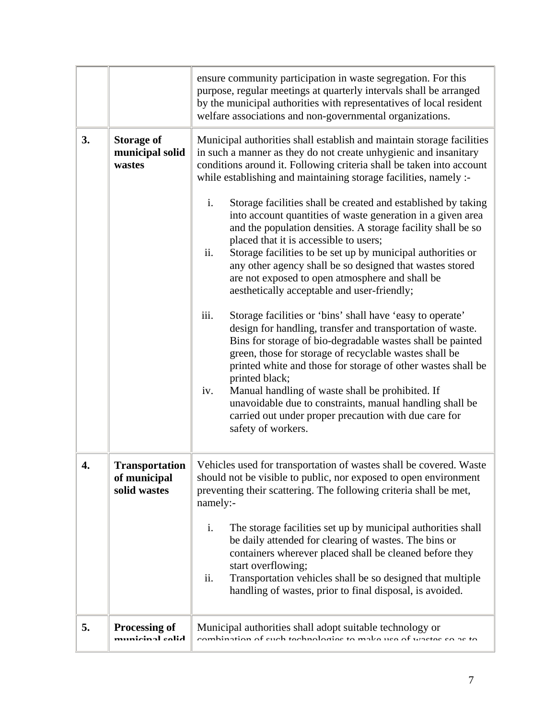|    |                                                       | ensure community participation in waste segregation. For this<br>purpose, regular meetings at quarterly intervals shall be arranged<br>by the municipal authorities with representatives of local resident<br>welfare associations and non-governmental organizations.                                                                                                                                                                                                                                                                          |  |  |
|----|-------------------------------------------------------|-------------------------------------------------------------------------------------------------------------------------------------------------------------------------------------------------------------------------------------------------------------------------------------------------------------------------------------------------------------------------------------------------------------------------------------------------------------------------------------------------------------------------------------------------|--|--|
| 3. | <b>Storage of</b><br>municipal solid<br>wastes        | Municipal authorities shall establish and maintain storage facilities<br>in such a manner as they do not create unhygienic and insanitary<br>conditions around it. Following criteria shall be taken into account<br>while establishing and maintaining storage facilities, namely :-                                                                                                                                                                                                                                                           |  |  |
|    |                                                       | i.<br>Storage facilities shall be created and established by taking<br>into account quantities of waste generation in a given area<br>and the population densities. A storage facility shall be so<br>placed that it is accessible to users;<br>ii.<br>Storage facilities to be set up by municipal authorities or<br>any other agency shall be so designed that wastes stored<br>are not exposed to open atmosphere and shall be<br>aesthetically acceptable and user-friendly;                                                                |  |  |
|    |                                                       | iii.<br>Storage facilities or 'bins' shall have 'easy to operate'<br>design for handling, transfer and transportation of waste.<br>Bins for storage of bio-degradable wastes shall be painted<br>green, those for storage of recyclable wastes shall be<br>printed white and those for storage of other wastes shall be<br>printed black;<br>Manual handling of waste shall be prohibited. If<br>iv.<br>unavoidable due to constraints, manual handling shall be<br>carried out under proper precaution with due care for<br>safety of workers. |  |  |
| 4. | <b>Transportation</b><br>of municipal<br>solid wastes | Vehicles used for transportation of wastes shall be covered. Waste<br>should not be visible to public, nor exposed to open environment<br>preventing their scattering. The following criteria shall be met,<br>namely:-                                                                                                                                                                                                                                                                                                                         |  |  |
|    |                                                       | i.<br>The storage facilities set up by municipal authorities shall<br>be daily attended for clearing of wastes. The bins or<br>containers wherever placed shall be cleaned before they<br>start overflowing;<br>ii.<br>Transportation vehicles shall be so designed that multiple<br>handling of wastes, prior to final disposal, is avoided.                                                                                                                                                                                                   |  |  |
| 5. | <b>Processing of</b><br>munininal calid               | Municipal authorities shall adopt suitable technology or<br>combination of such technologies to make use of wester so as to                                                                                                                                                                                                                                                                                                                                                                                                                     |  |  |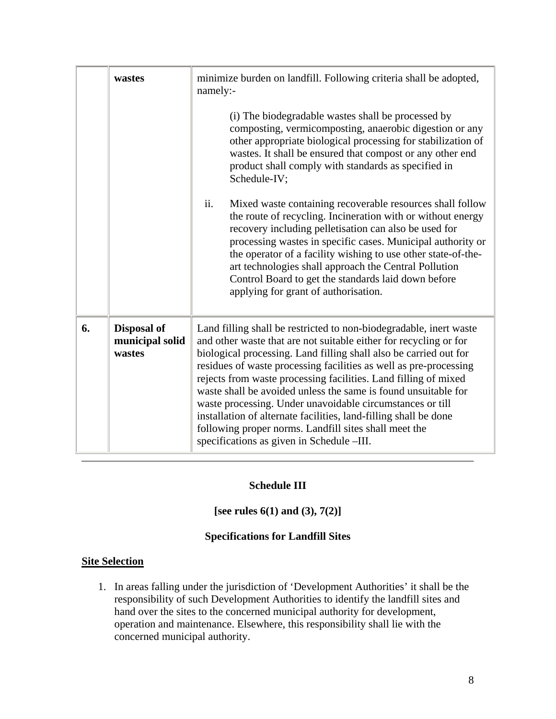|    | wastes                                   | minimize burden on landfill. Following criteria shall be adopted,<br>namely:-                                                                                                                                                                                                                                                                                                                                                                                                                                                                                                                                                                                 |  |  |
|----|------------------------------------------|---------------------------------------------------------------------------------------------------------------------------------------------------------------------------------------------------------------------------------------------------------------------------------------------------------------------------------------------------------------------------------------------------------------------------------------------------------------------------------------------------------------------------------------------------------------------------------------------------------------------------------------------------------------|--|--|
|    |                                          | (i) The biodegradable wastes shall be processed by<br>composting, vermicomposting, anaerobic digestion or any<br>other appropriate biological processing for stabilization of<br>wastes. It shall be ensured that compost or any other end<br>product shall comply with standards as specified in<br>Schedule-IV;                                                                                                                                                                                                                                                                                                                                             |  |  |
|    |                                          | ii.<br>Mixed waste containing recoverable resources shall follow<br>the route of recycling. Incineration with or without energy<br>recovery including pelletisation can also be used for<br>processing wastes in specific cases. Municipal authority or<br>the operator of a facility wishing to use other state-of-the-<br>art technologies shall approach the Central Pollution<br>Control Board to get the standards laid down before<br>applying for grant of authorisation.                                                                                                                                                                              |  |  |
| 6. | Disposal of<br>municipal solid<br>wastes | Land filling shall be restricted to non-biodegradable, inert waste<br>and other waste that are not suitable either for recycling or for<br>biological processing. Land filling shall also be carried out for<br>residues of waste processing facilities as well as pre-processing<br>rejects from waste processing facilities. Land filling of mixed<br>waste shall be avoided unless the same is found unsuitable for<br>waste processing. Under unavoidable circumstances or till<br>installation of alternate facilities, land-filling shall be done<br>following proper norms. Landfill sites shall meet the<br>specifications as given in Schedule -III. |  |  |

## **Schedule III**

# **[see rules 6(1) and (3), 7(2)]**

# **Specifications for Landfill Sites**

#### **Site Selection**

1. In areas falling under the jurisdiction of 'Development Authorities' it shall be the responsibility of such Development Authorities to identify the landfill sites and hand over the sites to the concerned municipal authority for development, operation and maintenance. Elsewhere, this responsibility shall lie with the concerned municipal authority.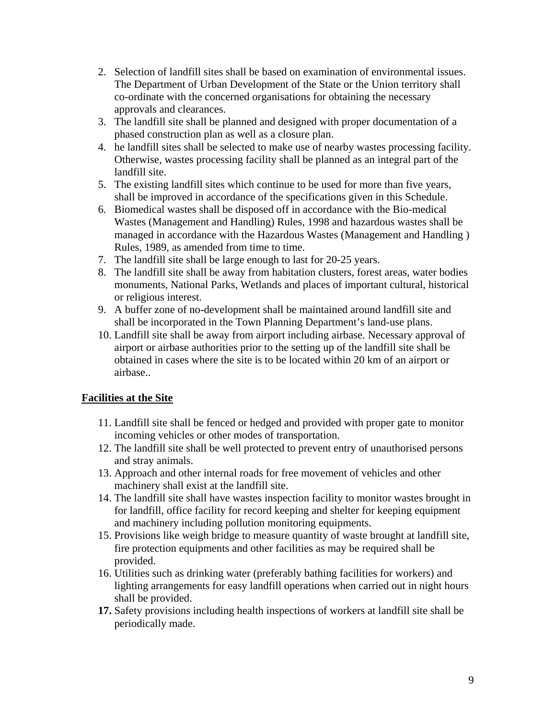- 2. Selection of landfill sites shall be based on examination of environmental issues. The Department of Urban Development of the State or the Union territory shall co-ordinate with the concerned organisations for obtaining the necessary approvals and clearances.
- 3. The landfill site shall be planned and designed with proper documentation of a phased construction plan as well as a closure plan.
- 4. he landfill sites shall be selected to make use of nearby wastes processing facility. Otherwise, wastes processing facility shall be planned as an integral part of the landfill site.
- 5. The existing landfill sites which continue to be used for more than five years, shall be improved in accordance of the specifications given in this Schedule.
- 6. Biomedical wastes shall be disposed off in accordance with the Bio-medical Wastes (Management and Handling) Rules, 1998 and hazardous wastes shall be managed in accordance with the Hazardous Wastes (Management and Handling ) Rules, 1989, as amended from time to time.
- 7. The landfill site shall be large enough to last for 20-25 years.
- 8. The landfill site shall be away from habitation clusters, forest areas, water bodies monuments, National Parks, Wetlands and places of important cultural, historical or religious interest.
- 9. A buffer zone of no-development shall be maintained around landfill site and shall be incorporated in the Town Planning Department's land-use plans.
- 10. Landfill site shall be away from airport including airbase. Necessary approval of airport or airbase authorities prior to the setting up of the landfill site shall be obtained in cases where the site is to be located within 20 km of an airport or airbase..

# **Facilities at the Site**

- 11. Landfill site shall be fenced or hedged and provided with proper gate to monitor incoming vehicles or other modes of transportation.
- 12. The landfill site shall be well protected to prevent entry of unauthorised persons and stray animals.
- 13. Approach and other internal roads for free movement of vehicles and other machinery shall exist at the landfill site.
- 14. The landfill site shall have wastes inspection facility to monitor wastes brought in for landfill, office facility for record keeping and shelter for keeping equipment and machinery including pollution monitoring equipments.
- 15. Provisions like weigh bridge to measure quantity of waste brought at landfill site, fire protection equipments and other facilities as may be required shall be provided.
- 16. Utilities such as drinking water (preferably bathing facilities for workers) and lighting arrangements for easy landfill operations when carried out in night hours shall be provided.
- **17.** Safety provisions including health inspections of workers at landfill site shall be periodically made.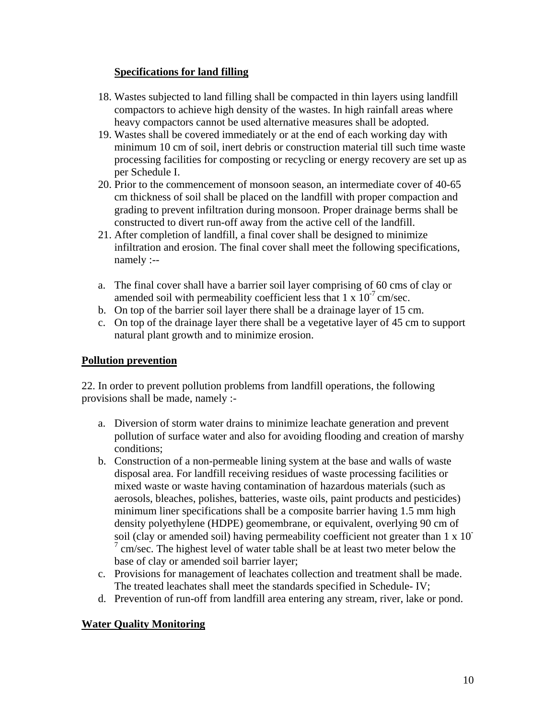### **Specifications for land filling**

- 18. Wastes subjected to land filling shall be compacted in thin layers using landfill compactors to achieve high density of the wastes. In high rainfall areas where heavy compactors cannot be used alternative measures shall be adopted.
- 19. Wastes shall be covered immediately or at the end of each working day with minimum 10 cm of soil, inert debris or construction material till such time waste processing facilities for composting or recycling or energy recovery are set up as per Schedule I.
- 20. Prior to the commencement of monsoon season, an intermediate cover of 40-65 cm thickness of soil shall be placed on the landfill with proper compaction and grading to prevent infiltration during monsoon. Proper drainage berms shall be constructed to divert run-off away from the active cell of the landfill.
- 21. After completion of landfill, a final cover shall be designed to minimize infiltration and erosion. The final cover shall meet the following specifications, namely :--
- a. The final cover shall have a barrier soil layer comprising of 60 cms of clay or amended soil with permeability coefficient less that  $1 \times 10^{-7}$  cm/sec.
- b. On top of the barrier soil layer there shall be a drainage layer of 15 cm.
- c. On top of the drainage layer there shall be a vegetative layer of 45 cm to support natural plant growth and to minimize erosion.

#### **Pollution prevention**

22. In order to prevent pollution problems from landfill operations, the following provisions shall be made, namely :-

- a. Diversion of storm water drains to minimize leachate generation and prevent pollution of surface water and also for avoiding flooding and creation of marshy conditions;
- b. Construction of a non-permeable lining system at the base and walls of waste disposal area. For landfill receiving residues of waste processing facilities or mixed waste or waste having contamination of hazardous materials (such as aerosols, bleaches, polishes, batteries, waste oils, paint products and pesticides) minimum liner specifications shall be a composite barrier having 1.5 mm high density polyethylene (HDPE) geomembrane, or equivalent, overlying 90 cm of soil (clay or amended soil) having permeability coefficient not greater than 1 x 10-  $7 \text{ cm/sec}$ . The highest level of water table shall be at least two meter below the base of clay or amended soil barrier layer;
- c. Provisions for management of leachates collection and treatment shall be made. The treated leachates shall meet the standards specified in Schedule- IV;
- d. Prevention of run-off from landfill area entering any stream, river, lake or pond.

# **Water Quality Monitoring**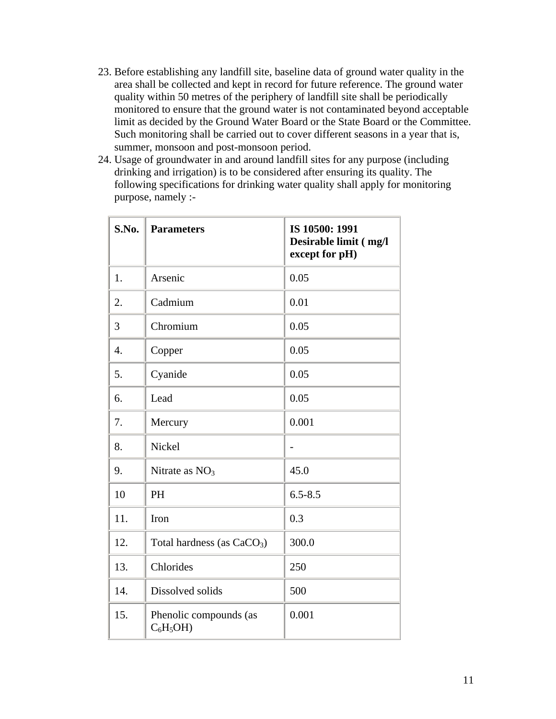- 23. Before establishing any landfill site, baseline data of ground water quality in the area shall be collected and kept in record for future reference. The ground water quality within 50 metres of the periphery of landfill site shall be periodically monitored to ensure that the ground water is not contaminated beyond acceptable limit as decided by the Ground Water Board or the State Board or the Committee. Such monitoring shall be carried out to cover different seasons in a year that is, summer, monsoon and post-monsoon period.
- 24. Usage of groundwater in and around landfill sites for any purpose (including drinking and irrigation) is to be considered after ensuring its quality. The following specifications for drinking water quality shall apply for monitoring purpose, namely :-

| S.No.            | <b>Parameters</b>                      | IS 10500: 1991<br>Desirable limit (mg/l<br>except for pH) |
|------------------|----------------------------------------|-----------------------------------------------------------|
| 1.               | Arsenic                                | 0.05                                                      |
| 2.               | Cadmium                                | 0.01                                                      |
| 3                | Chromium                               | 0.05                                                      |
| $\overline{4}$ . | Copper                                 | 0.05                                                      |
| 5.               | Cyanide                                | 0.05                                                      |
| 6.               | Lead                                   | 0.05                                                      |
| 7.               | Mercury                                | 0.001                                                     |
| 8.               | <b>Nickel</b>                          |                                                           |
| 9.               | Nitrate as $NO3$                       | 45.0                                                      |
| 10               | <b>PH</b>                              | $6.5 - 8.5$                                               |
| 11.              | Iron                                   | 0.3                                                       |
| 12.              | Total hardness (as CaCO <sub>3</sub> ) | 300.0                                                     |
| 13.              | Chlorides                              | 250                                                       |
| 14.              | Dissolved solids                       | 500                                                       |
| 15.              | Phenolic compounds (as<br>$C_6H_5OH$   | 0.001                                                     |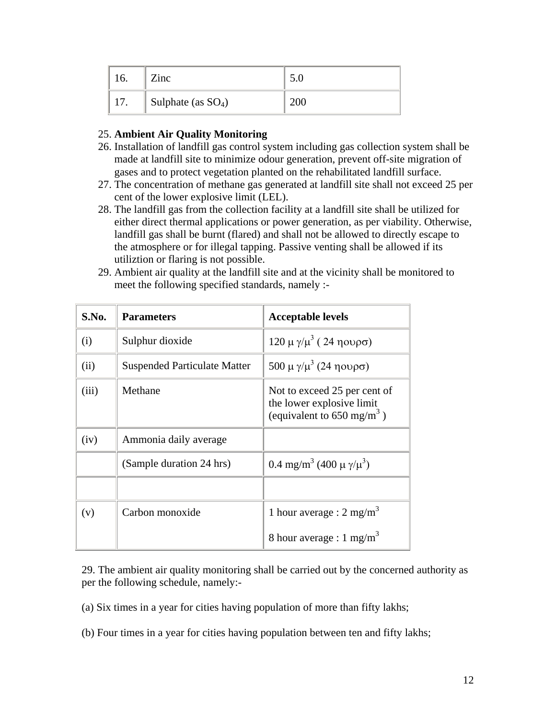| 16. | Zinc                  |  |
|-----|-----------------------|--|
|     | Sulphate (as $SO_4$ ) |  |

#### 25. **Ambient Air Quality Monitoring**

- 26. Installation of landfill gas control system including gas collection system shall be made at landfill site to minimize odour generation, prevent off-site migration of gases and to protect vegetation planted on the rehabilitated landfill surface.
- 27. The concentration of methane gas generated at landfill site shall not exceed 25 per cent of the lower explosive limit (LEL).
- 28. The landfill gas from the collection facility at a landfill site shall be utilized for either direct thermal applications or power generation, as per viability. Otherwise, landfill gas shall be burnt (flared) and shall not be allowed to directly escape to the atmosphere or for illegal tapping. Passive venting shall be allowed if its utiliztion or flaring is not possible.
- 29. Ambient air quality at the landfill site and at the vicinity shall be monitored to meet the following specified standards, namely :-

| S.No. | <b>Parameters</b>                   | <b>Acceptable levels</b>                                                                           |
|-------|-------------------------------------|----------------------------------------------------------------------------------------------------|
| (i)   | Sulphur dioxide                     | 120 μ γ/μ <sup>3</sup> (24 ηουρσ)                                                                  |
| (ii)  | <b>Suspended Particulate Matter</b> | 500 μ γ/μ <sup>3</sup> (24 ηουρσ)                                                                  |
| (iii) | Methane                             | Not to exceed 25 per cent of<br>the lower explosive limit<br>(equivalent to $650 \text{ mg/m}^3$ ) |
| (iv)  | Ammonia daily average               |                                                                                                    |
|       | (Sample duration 24 hrs)            | 0.4 mg/m <sup>3</sup> (400 µ $\gamma/\mu^3$ )                                                      |
|       |                                     |                                                                                                    |
| (v)   | Carbon monoxide                     | 1 hour average : $2 \text{ mg/m}^3$                                                                |
|       |                                     | 8 hour average : $1 \text{ mg/m}^3$                                                                |

29. The ambient air quality monitoring shall be carried out by the concerned authority as per the following schedule, namely:-

(a) Six times in a year for cities having population of more than fifty lakhs;

(b) Four times in a year for cities having population between ten and fifty lakhs;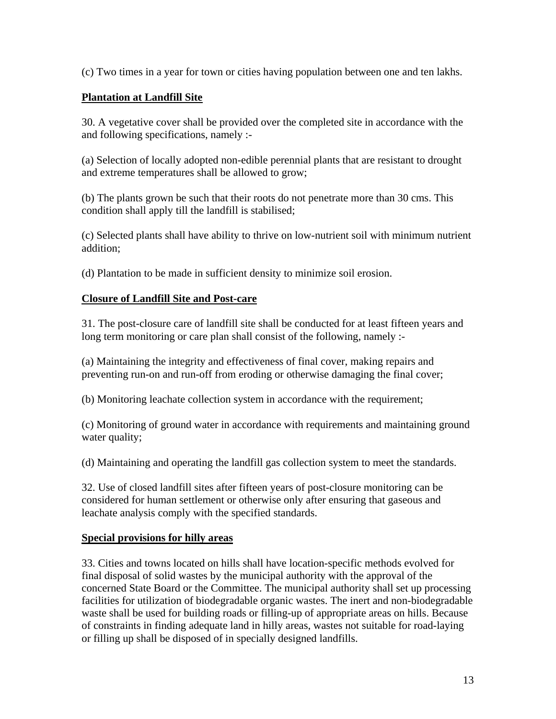(c) Two times in a year for town or cities having population between one and ten lakhs.

## **Plantation at Landfill Site**

30. A vegetative cover shall be provided over the completed site in accordance with the and following specifications, namely :-

(a) Selection of locally adopted non-edible perennial plants that are resistant to drought and extreme temperatures shall be allowed to grow;

(b) The plants grown be such that their roots do not penetrate more than 30 cms. This condition shall apply till the landfill is stabilised;

(c) Selected plants shall have ability to thrive on low-nutrient soil with minimum nutrient addition;

(d) Plantation to be made in sufficient density to minimize soil erosion.

#### **Closure of Landfill Site and Post-care**

31. The post-closure care of landfill site shall be conducted for at least fifteen years and long term monitoring or care plan shall consist of the following, namely :-

(a) Maintaining the integrity and effectiveness of final cover, making repairs and preventing run-on and run-off from eroding or otherwise damaging the final cover;

(b) Monitoring leachate collection system in accordance with the requirement;

(c) Monitoring of ground water in accordance with requirements and maintaining ground water quality;

(d) Maintaining and operating the landfill gas collection system to meet the standards.

32. Use of closed landfill sites after fifteen years of post-closure monitoring can be considered for human settlement or otherwise only after ensuring that gaseous and leachate analysis comply with the specified standards.

#### **Special provisions for hilly areas**

33. Cities and towns located on hills shall have location-specific methods evolved for final disposal of solid wastes by the municipal authority with the approval of the concerned State Board or the Committee. The municipal authority shall set up processing facilities for utilization of biodegradable organic wastes. The inert and non-biodegradable waste shall be used for building roads or filling-up of appropriate areas on hills. Because of constraints in finding adequate land in hilly areas, wastes not suitable for road-laying or filling up shall be disposed of in specially designed landfills.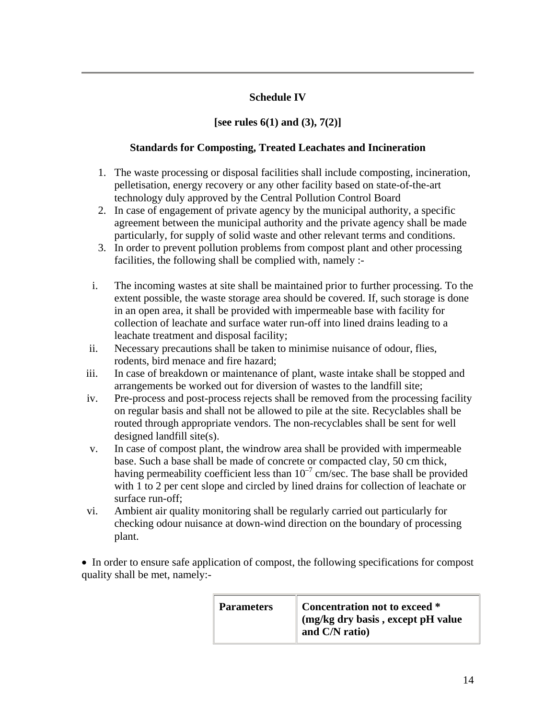# **Schedule IV**

## **[see rules 6(1) and (3), 7(2)]**

#### **Standards for Composting, Treated Leachates and Incineration**

- 1. The waste processing or disposal facilities shall include composting, incineration, pelletisation, energy recovery or any other facility based on state-of-the-art technology duly approved by the Central Pollution Control Board
- 2. In case of engagement of private agency by the municipal authority, a specific agreement between the municipal authority and the private agency shall be made particularly, for supply of solid waste and other relevant terms and conditions.
- 3. In order to prevent pollution problems from compost plant and other processing facilities, the following shall be complied with, namely :-
- i. The incoming wastes at site shall be maintained prior to further processing. To the extent possible, the waste storage area should be covered. If, such storage is done in an open area, it shall be provided with impermeable base with facility for collection of leachate and surface water run-off into lined drains leading to a leachate treatment and disposal facility;
- ii. Necessary precautions shall be taken to minimise nuisance of odour, flies, rodents, bird menace and fire hazard;
- iii. In case of breakdown or maintenance of plant, waste intake shall be stopped and arrangements be worked out for diversion of wastes to the landfill site;
- iv. Pre-process and post-process rejects shall be removed from the processing facility on regular basis and shall not be allowed to pile at the site. Recyclables shall be routed through appropriate vendors. The non-recyclables shall be sent for well designed landfill site(s).
- v. In case of compost plant, the windrow area shall be provided with impermeable base. Such a base shall be made of concrete or compacted clay, 50 cm thick, having permeability coefficient less than  $10^{-7}$  cm/sec. The base shall be provided with 1 to 2 per cent slope and circled by lined drains for collection of leachate or surface run-off;
- vi. Ambient air quality monitoring shall be regularly carried out particularly for checking odour nuisance at down-wind direction on the boundary of processing plant.

• In order to ensure safe application of compost, the following specifications for compost quality shall be met, namely:-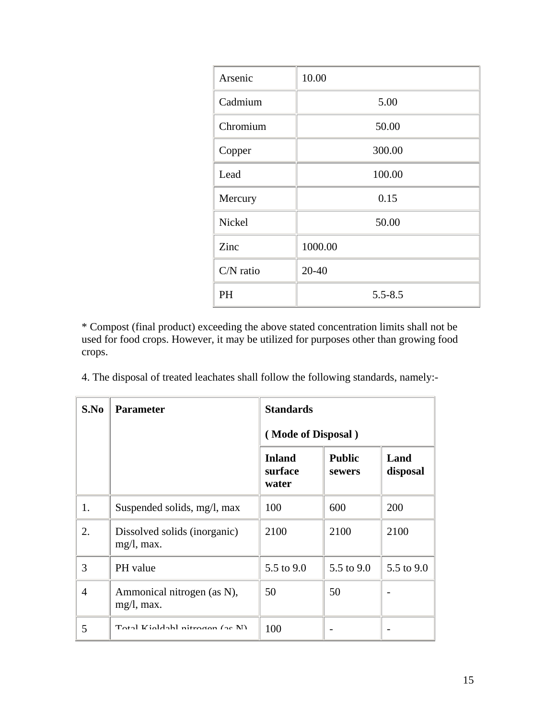| Arsenic   | 10.00       |
|-----------|-------------|
| Cadmium   | 5.00        |
| Chromium  | 50.00       |
| Copper    | 300.00      |
| Lead      | 100.00      |
| Mercury   | 0.15        |
| Nickel    | 50.00       |
| Zinc      | 1000.00     |
| C/N ratio | $20 - 40$   |
| PH        | $5.5 - 8.5$ |

\* Compost (final product) exceeding the above stated concentration limits shall not be used for food crops. However, it may be utilized for purposes other than growing food crops.

4. The disposal of treated leachates shall follow the following standards, namely:-

| S.No           | <b>Parameter</b>                              | <b>Standards</b>                  |                         |                  |
|----------------|-----------------------------------------------|-----------------------------------|-------------------------|------------------|
|                |                                               | (Mode of Disposal)                |                         |                  |
|                |                                               | <b>Inland</b><br>surface<br>water | <b>Public</b><br>sewers | Land<br>disposal |
| 1.             | Suspended solids, mg/l, max                   | 100                               | 600                     | 200              |
| 2.             | Dissolved solids (inorganic)<br>$mg/l$ , max. | 2100                              | 2100                    | 2100             |
| 3              | PH value                                      | 5.5 to 9.0                        | 5.5 to 9.0              | 5.5 to 9.0       |
| $\overline{4}$ | Ammonical nitrogen (as N),<br>$mg/l$ , max.   | 50                                | 50                      |                  |
| 5              | $Total$ Kialdahl nitrogan (as $N$ )           | 100                               |                         |                  |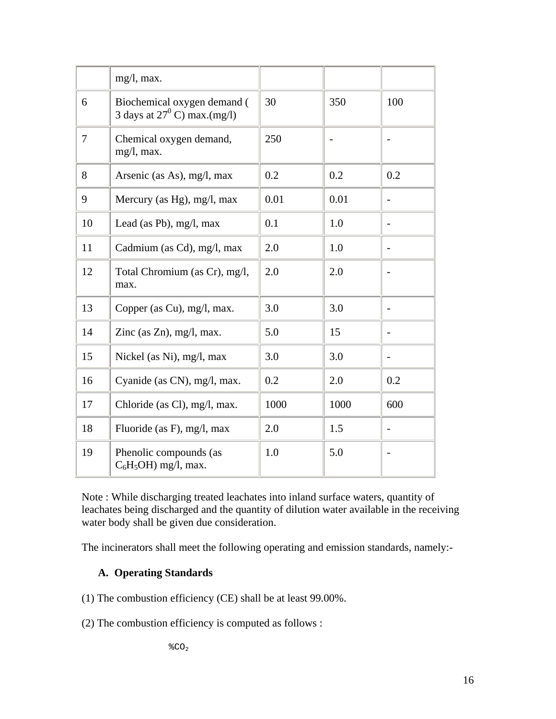|                | mg/l, max.                                                          |      |      |                          |
|----------------|---------------------------------------------------------------------|------|------|--------------------------|
| 6              | Biochemical oxygen demand (<br>3 days at $27^{\circ}$ C) max.(mg/l) | 30   | 350  | 100                      |
| $\overline{7}$ | Chemical oxygen demand,<br>mg/l, max.                               | 250  |      |                          |
| 8              | Arsenic (as As), mg/l, max                                          | 0.2  | 0.2  | 0.2                      |
| 9              | Mercury (as Hg), mg/l, max                                          | 0.01 | 0.01 |                          |
| 10             | Lead (as Pb), mg/l, max                                             | 0.1  | 1.0  |                          |
| 11             | Cadmium (as Cd), mg/l, max                                          | 2.0  | 1.0  |                          |
| 12             | Total Chromium (as Cr), mg/l,<br>max.                               | 2.0  | 2.0  |                          |
| 13             | Copper (as Cu), mg/l, max.                                          | 3.0  | 3.0  | $\overline{\phantom{a}}$ |
| 14             | Zinc (as $Zn$ ), mg/l, max.                                         | 5.0  | 15   |                          |
| 15             | Nickel (as Ni), mg/l, max                                           | 3.0  | 3.0  |                          |
| 16             | Cyanide (as CN), mg/l, max.                                         | 0.2  | 2.0  | 0.2                      |
| 17             | Chloride (as Cl), mg/l, max.                                        | 1000 | 1000 | 600                      |
| 18             | Fluoride (as F), mg/l, max                                          | 2.0  | 1.5  | $\overline{a}$           |
| 19             | Phenolic compounds (as<br>$C_6H_5OH$ ) mg/l, max.                   | 1.0  | 5.0  |                          |

Note : While discharging treated leachates into inland surface waters, quantity of leachates being discharged and the quantity of dilution water available in the receiving water body shall be given due consideration.

The incinerators shall meet the following operating and emission standards, namely:-

## **A. Operating Standards**

- (1) The combustion efficiency (CE) shall be at least 99.00%.
- (2) The combustion efficiency is computed as follows :

 $°CO<sub>2</sub>$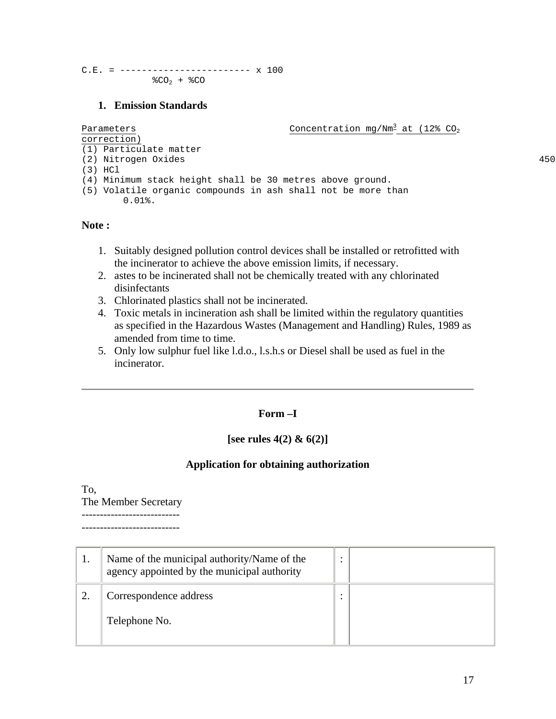C.E. = ------------------------ x 100  $°CO_2 + \tCO$ 

#### **1. Emission Standards**

Parameters  $\frac{12\% \ CO_{2}}{12\% \ CO_{2}}$ correction) (1) Particulate matter (2) Nitrogen Oxides 450 (3) HCl (4) Minimum stack height shall be 30 metres above ground. (5) Volatile organic compounds in ash shall not be more than 0.01%.

**Note :** 

- 1. Suitably designed pollution control devices shall be installed or retrofitted with the incinerator to achieve the above emission limits, if necessary.
- 2. astes to be incinerated shall not be chemically treated with any chlorinated disinfectants
- 3. Chlorinated plastics shall not be incinerated.
- 4. Toxic metals in incineration ash shall be limited within the regulatory quantities as specified in the Hazardous Wastes (Management and Handling) Rules, 1989 as amended from time to time.
- 5. Only low sulphur fuel like l.d.o., l.s.h.s or Diesel shall be used as fuel in the incinerator.

#### **Form –I**

#### **[see rules 4(2) & 6(2)]**

#### **Application for obtaining authorization**

To, The Member Secretary ---------------------------

---------------------------

| Name of the municipal authority/Name of the<br>agency appointed by the municipal authority | ٠ |  |
|--------------------------------------------------------------------------------------------|---|--|
| Correspondence address                                                                     | ٠ |  |
| Telephone No.                                                                              |   |  |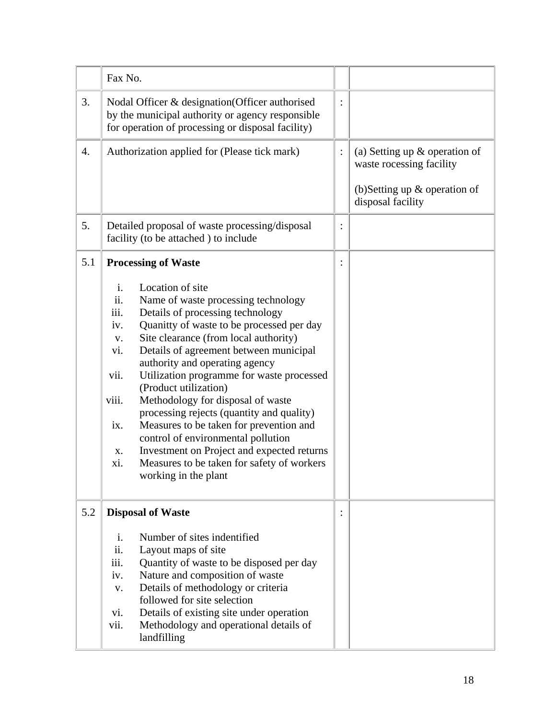|                  | Fax No.                                                                                                                                                                                                                                                                                                                                                                                                                                                                                                                                                                                                                                                                                                  |                |                                                              |
|------------------|----------------------------------------------------------------------------------------------------------------------------------------------------------------------------------------------------------------------------------------------------------------------------------------------------------------------------------------------------------------------------------------------------------------------------------------------------------------------------------------------------------------------------------------------------------------------------------------------------------------------------------------------------------------------------------------------------------|----------------|--------------------------------------------------------------|
| 3.               | Nodal Officer & designation (Officer authorised<br>by the municipal authority or agency responsible<br>for operation of processing or disposal facility)                                                                                                                                                                                                                                                                                                                                                                                                                                                                                                                                                 | $\ddot{\cdot}$ |                                                              |
| $\overline{4}$ . | Authorization applied for (Please tick mark)                                                                                                                                                                                                                                                                                                                                                                                                                                                                                                                                                                                                                                                             |                | (a) Setting up $\&$ operation of<br>waste rocessing facility |
|                  |                                                                                                                                                                                                                                                                                                                                                                                                                                                                                                                                                                                                                                                                                                          |                | (b) Setting up $\&$ operation of<br>disposal facility        |
| 5.               | Detailed proposal of waste processing/disposal<br>facility (to be attached) to include                                                                                                                                                                                                                                                                                                                                                                                                                                                                                                                                                                                                                   | $\ddot{\cdot}$ |                                                              |
| 5.1              | <b>Processing of Waste</b>                                                                                                                                                                                                                                                                                                                                                                                                                                                                                                                                                                                                                                                                               |                |                                                              |
|                  | i.<br>Location of site<br>ii.<br>Name of waste processing technology<br>iii.<br>Details of processing technology<br>Quanitty of waste to be processed per day<br>iv.<br>Site clearance (from local authority)<br>V.<br>Details of agreement between municipal<br>vi.<br>authority and operating agency<br>Utilization programme for waste processed<br>vii.<br>(Product utilization)<br>Methodology for disposal of waste<br>viii.<br>processing rejects (quantity and quality)<br>Measures to be taken for prevention and<br>ix.<br>control of environmental pollution<br>Investment on Project and expected returns<br>X.<br>Measures to be taken for safety of workers<br>xi.<br>working in the plant |                |                                                              |
| 5.2              | <b>Disposal of Waste</b>                                                                                                                                                                                                                                                                                                                                                                                                                                                                                                                                                                                                                                                                                 |                |                                                              |
|                  | Number of sites indentified<br>i.<br>ii.<br>Layout maps of site<br>Quantity of waste to be disposed per day<br>iii.<br>Nature and composition of waste<br>iv.<br>Details of methodology or criteria<br>V.<br>followed for site selection<br>Details of existing site under operation<br>vi.<br>Methodology and operational details of<br>vii.<br>landfilling                                                                                                                                                                                                                                                                                                                                             |                |                                                              |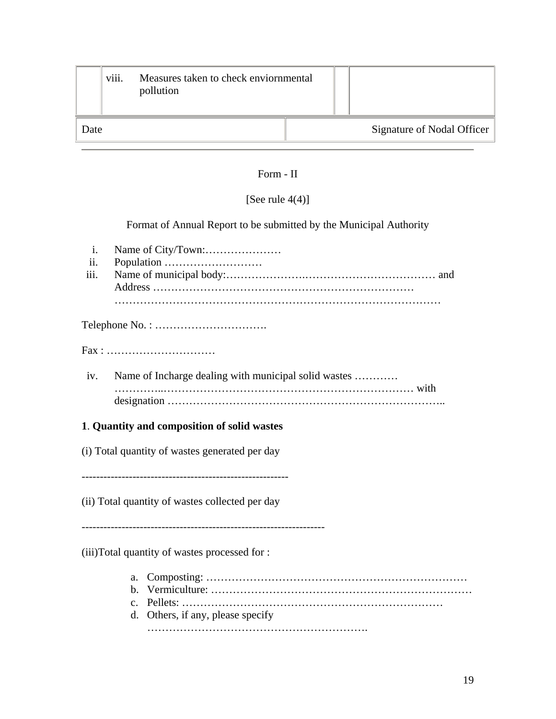|      | viii. | Measures taken to check enviornmental<br>pollution |  |                            |
|------|-------|----------------------------------------------------|--|----------------------------|
| Date |       |                                                    |  | Signature of Nodal Officer |

## Form - II

# [See rule  $4(4)$ ]

Format of Annual Report to be submitted by the Municipal Authority

- i. Name of City/Town:…………………
- ii. Population ………………………
- iii. Name of municipal body:………………….……………………………… and Address ……………………………………………………………… ………………………………………………………………………………

Telephone No. : ………………………….

- Fax : …………………………
- iv. Name of Incharge dealing with municipal solid wastes ………… …………..…………………………………………………………… with designation …………………………………………………………………..

#### **1**. **Quantity and composition of solid wastes**

(i) Total quantity of wastes generated per day

---------------------------------------------------------

(ii) Total quantity of wastes collected per day

-------------------------------------------------------------------

(iii)Total quantity of wastes processed for :

| d. Others, if any, please specify |
|-----------------------------------|
|                                   |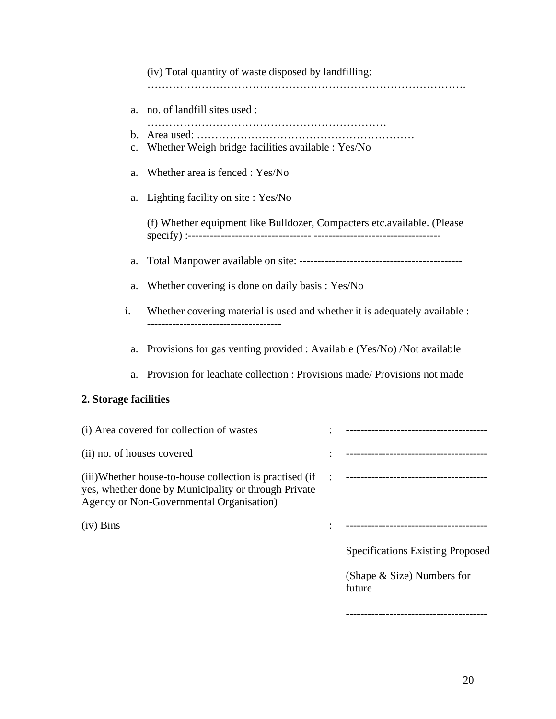| (iv) Total quantity of waste disposed by landfilling:                                                                                                                                                                                                                                                              |                                                                         |  |                                         |
|--------------------------------------------------------------------------------------------------------------------------------------------------------------------------------------------------------------------------------------------------------------------------------------------------------------------|-------------------------------------------------------------------------|--|-----------------------------------------|
| a.                                                                                                                                                                                                                                                                                                                 | no. of landfill sites used:                                             |  |                                         |
| $\mathbf{b}$ .<br>c.                                                                                                                                                                                                                                                                                               | Whether Weigh bridge facilities available : Yes/No                      |  |                                         |
| a.                                                                                                                                                                                                                                                                                                                 | Whether area is fenced : Yes/No                                         |  |                                         |
| a.                                                                                                                                                                                                                                                                                                                 | Lighting facility on site : Yes/No                                      |  |                                         |
|                                                                                                                                                                                                                                                                                                                    | (f) Whether equipment like Bulldozer, Compacters etc.available. (Please |  |                                         |
| a.<br>Whether covering is done on daily basis: Yes/No<br>a.<br>i.<br>Whether covering material is used and whether it is adequately available :<br>Provisions for gas venting provided : Available (Yes/No) /Not available<br>a.<br>Provision for leachate collection : Provisions made/ Provisions not made<br>a. |                                                                         |  |                                         |
|                                                                                                                                                                                                                                                                                                                    |                                                                         |  |                                         |
|                                                                                                                                                                                                                                                                                                                    |                                                                         |  |                                         |
|                                                                                                                                                                                                                                                                                                                    |                                                                         |  |                                         |
|                                                                                                                                                                                                                                                                                                                    |                                                                         |  |                                         |
| 2. Storage facilities                                                                                                                                                                                                                                                                                              |                                                                         |  |                                         |
|                                                                                                                                                                                                                                                                                                                    | (i) Area covered for collection of wastes                               |  |                                         |
| (ii) no. of houses covered                                                                                                                                                                                                                                                                                         |                                                                         |  | ----------------------------------      |
| (iii)Whether house-to-house collection is practised (if<br>yes, whether done by Municipality or through Private<br>Agency or Non-Governmental Organisation)                                                                                                                                                        |                                                                         |  |                                         |
| $(iv)$ Bins                                                                                                                                                                                                                                                                                                        |                                                                         |  | -------------------------------         |
|                                                                                                                                                                                                                                                                                                                    |                                                                         |  | <b>Specifications Existing Proposed</b> |
|                                                                                                                                                                                                                                                                                                                    |                                                                         |  | (Shape & Size) Numbers for<br>future    |

---------------------------------------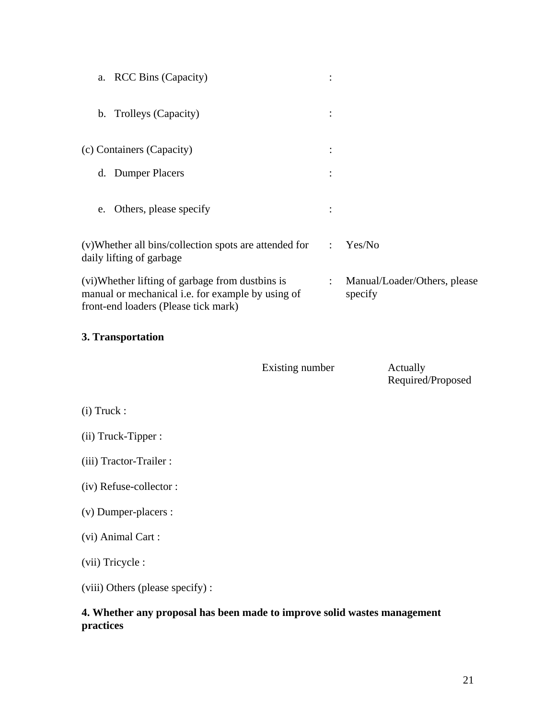|                                                                                                                                              | a. RCC Bins (Capacity)                                                            |                           |                                         |
|----------------------------------------------------------------------------------------------------------------------------------------------|-----------------------------------------------------------------------------------|---------------------------|-----------------------------------------|
|                                                                                                                                              | b. Trolleys (Capacity)                                                            |                           |                                         |
|                                                                                                                                              | (c) Containers (Capacity)                                                         |                           |                                         |
|                                                                                                                                              | d. Dumper Placers                                                                 |                           |                                         |
| e.                                                                                                                                           | Others, please specify                                                            |                           |                                         |
|                                                                                                                                              | (v)Whether all bins/collection spots are attended for<br>daily lifting of garbage | $\mathbb{R}^n$            | Yes/No                                  |
| (vi)Whether lifting of garbage from dustbins is<br>manual or mechanical i.e. for example by using of<br>front-end loaders (Please tick mark) |                                                                                   | $\mathbb{R}^{\mathbb{Z}}$ | Manual/Loader/Others, please<br>specify |
|                                                                                                                                              | 3. Transportation                                                                 |                           |                                         |
|                                                                                                                                              |                                                                                   | Existing number           | Actually<br>Required/Proposed           |

(i) Truck :

|  |  | (ii) Truck-Tipper : |  |
|--|--|---------------------|--|
|--|--|---------------------|--|

- (iii) Tractor-Trailer :
- (iv) Refuse-collector :
- (v) Dumper-placers :
- (vi) Animal Cart :
- (vii) Tricycle :
- (viii) Others (please specify) :

## **4. Whether any proposal has been made to improve solid wastes management practices**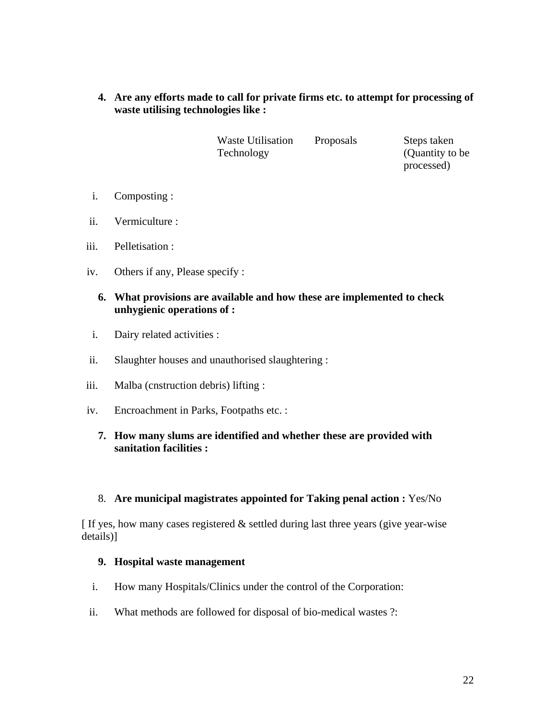**4. Are any efforts made to call for private firms etc. to attempt for processing of waste utilising technologies like :** 

> Waste Utilisation Technology

Proposals Steps taken (Quantity to be processed)

- i. Composting :
- ii. Vermiculture :
- iii. Pelletisation :
- iv. Others if any, Please specify :
	- **6. What provisions are available and how these are implemented to check unhygienic operations of :**
- i. Dairy related activities :
- ii. Slaughter houses and unauthorised slaughtering :
- iii. Malba (cnstruction debris) lifting :
- iv. Encroachment in Parks, Footpaths etc. :
	- **7. How many slums are identified and whether these are provided with sanitation facilities :**
	- 8. **Are municipal magistrates appointed for Taking penal action :** Yes/No

[ If yes, how many cases registered  $&$  settled during last three years (give year-wise details)]

#### **9. Hospital waste management**

- i. How many Hospitals/Clinics under the control of the Corporation:
- ii. What methods are followed for disposal of bio-medical wastes ?: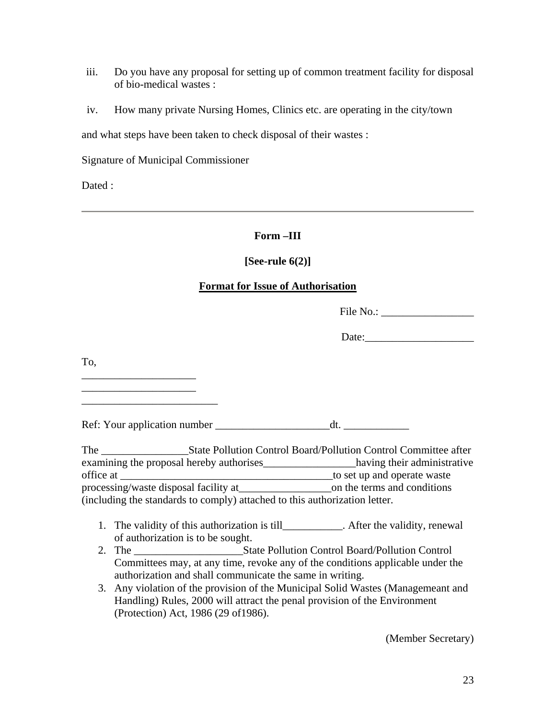- iii. Do you have any proposal for setting up of common treatment facility for disposal of bio-medical wastes :
- iv. How many private Nursing Homes, Clinics etc. are operating in the city/town

and what steps have been taken to check disposal of their wastes :

Signature of Municipal Commissioner

Dated :

#### **Form –III**

#### **[See-rule 6(2)]**

#### **Format for Issue of Authorisation**

Date:

To,

\_\_\_\_\_\_\_\_\_\_\_\_\_\_\_\_\_\_\_\_\_ \_\_\_\_\_\_\_\_\_\_\_\_\_\_\_\_\_\_\_\_\_

\_\_\_\_\_\_\_\_\_\_\_\_\_\_\_\_\_\_\_\_\_\_\_\_\_

Ref: Your application number dt.

| The                                                                        | State Pollution Control Board/Pollution Control Committee after |  |  |  |  |
|----------------------------------------------------------------------------|-----------------------------------------------------------------|--|--|--|--|
| examining the proposal hereby authorises                                   | having their administrative                                     |  |  |  |  |
| office at                                                                  | to set up and operate waste                                     |  |  |  |  |
| on the terms and conditions<br>processing/waste disposal facility at       |                                                                 |  |  |  |  |
| (including the standards to comply) attached to this authorization letter. |                                                                 |  |  |  |  |

- 1. The validity of this authorization is till . After the validity, renewal of authorization is to be sought.
- 2. The \_\_\_\_\_\_\_\_\_\_\_\_\_\_\_\_\_\_\_\_State Pollution Control Board/Pollution Control Committees may, at any time, revoke any of the conditions applicable under the authorization and shall communicate the same in writing.
- 3. Any violation of the provision of the Municipal Solid Wastes (Managemeant and Handling) Rules, 2000 will attract the penal provision of the Environment (Protection) Act, 1986 (29 of1986).

(Member Secretary)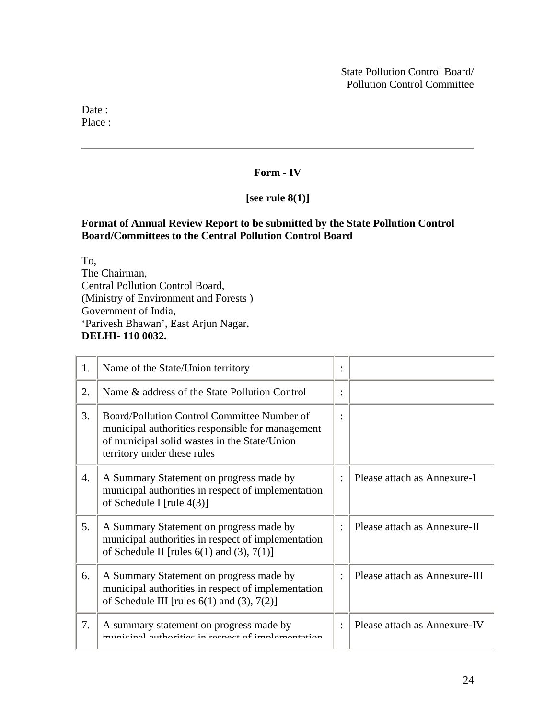Date: Place :

## **Form - IV**

## **[see rule 8(1)]**

## **Format of Annual Review Report to be submitted by the State Pollution Control Board/Committees to the Central Pollution Control Board**

To, The Chairman, Central Pollution Control Board, (Ministry of Environment and Forests ) Government of India, 'Parivesh Bhawan', East Arjun Nagar, **DELHI- 110 0032.**

| 1. | Name of the State/Union territory                                                                                                                                              |         |                               |
|----|--------------------------------------------------------------------------------------------------------------------------------------------------------------------------------|---------|-------------------------------|
| 2. | Name & address of the State Pollution Control                                                                                                                                  |         |                               |
| 3. | Board/Pollution Control Committee Number of<br>municipal authorities responsible for management<br>of municipal solid wastes in the State/Union<br>territory under these rules |         |                               |
| 4. | A Summary Statement on progress made by<br>municipal authorities in respect of implementation<br>of Schedule I [rule $4(3)$ ]                                                  |         | Please attach as Annexure-I   |
| 5. | A Summary Statement on progress made by<br>municipal authorities in respect of implementation<br>of Schedule II [rules $6(1)$ and $(3)$ , $7(1)$ ]                             | $\cdot$ | Please attach as Annexure-II  |
| 6. | A Summary Statement on progress made by<br>municipal authorities in respect of implementation<br>of Schedule III [rules $6(1)$ and $(3)$ , $7(2)$ ]                            |         | Please attach as Annexure-III |
| 7. | A summary statement on progress made by<br>municipal outborities in respect of implementation                                                                                  |         | Please attach as Annexure-IV  |